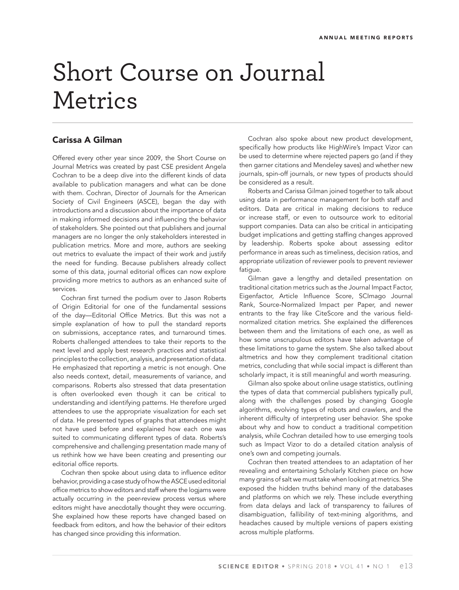## Short Course on Journal Metrics

## **Carissa A Gilman**

Offered every other year since 2009, the Short Course on Journal Metrics was created by past CSE president Angela Cochran to be a deep dive into the different kinds of data available to publication managers and what can be done with them. Cochran, Director of Journals for the American Society of Civil Engineers (ASCE), began the day with introductions and a discussion about the importance of data in making informed decisions and influencing the behavior of stakeholders. She pointed out that publishers and journal managers are no longer the only stakeholders interested in publication metrics. More and more, authors are seeking out metrics to evaluate the impact of their work and justify the need for funding. Because publishers already collect some of this data, journal editorial offices can now explore providing more metrics to authors as an enhanced suite of services.

Cochran first turned the podium over to Jason Roberts of Origin Editorial for one of the fundamental sessions of the day-Editorial Office Metrics. But this was not a simple explanation of how to pull the standard reports on submissions, acceptance rates, and turnaround times. Roberts challenged attendees to take their reports to the next level and apply best research practices and statistical principles to the collection, analysis, and presentation of data. He emphasized that reporting a metric is not enough. One also needs context, detail, measurements of variance, and comparisons. Roberts also stressed that data presentation is often overlooked even though it can be critical to understanding and identifying patterns. He therefore urged attendees to use the appropriate visualization for each set of data. He presented types of graphs that attendees might not have used before and explained how each one was suited to communicating different types of data. Roberts's comprehensive and challenging presentation made many of us rethink how we have been creating and presenting our editorial office reports.

Cochran then spoke about using data to influence editor behavior, providing a case study of how the ASCE used editorial office metrics to show editors and staff where the logiams were actually occurring in the peer-review process versus where editors might have anecdotally thought they were occurring. She explained how these reports have changed based on feedback from editors, and how the behavior of their editors has changed since providing this information.

Cochran also spoke about new product development, specifically how products like HighWire's Impact Vizor can be used to determine where rejected papers go (and if they then garner citations and Mendeley saves) and whether new journals, spin-off journals, or new types of products should be considered as a result.

Roberts and Carissa Gilman joined together to talk about using data in performance management for both staff and editors. Data are critical in making decisions to reduce or increase staff, or even to outsource work to editorial support companies. Data can also be critical in anticipating budget implications and getting staffing changes approved by leadership. Roberts spoke about assessing editor performance in areas such as timeliness, decision ratios, and appropriate utilization of reviewer pools to prevent reviewer fatigue.

Gilman gave a lengthy and detailed presentation on traditional citation metrics such as the Journal Impact Factor, Eigenfactor, Article Influence Score, SCImago Journal Rank, Source-Normalized Impact per Paper, and newer entrants to the fray like CiteScore and the various fieldnormalized citation metrics. She explained the differences between them and the limitations of each one, as well as how some unscrupulous editors have taken advantage of these limitations to game the system. She also talked about altmetrics and how they complement traditional citation metrics, concluding that while social impact is different than scholarly impact, it is still meaningful and worth measuring.

Gilman also spoke about online usage statistics, outlining the types of data that commercial publishers typically pull, along with the challenges posed by changing Google algorithms, evolving types of robots and crawlers, and the inherent difficulty of interpreting user behavior. She spoke about why and how to conduct a traditional competition analysis, while Cochran detailed how to use emerging tools such as Impact Vizor to do a detailed citation analysis of one's own and competing journals.

Cochran then treated attendees to an adaptation of her revealing and entertaining Scholarly Kitchen piece on how many grains of salt we must take when looking at metrics. She exposed the hidden truths behind many of the databases and platforms on which we rely. These include everything from data delays and lack of transparency to failures of disambiguation, fallibility of text-mining algorithms, and headaches caused by multiple versions of papers existing across multiple platforms.